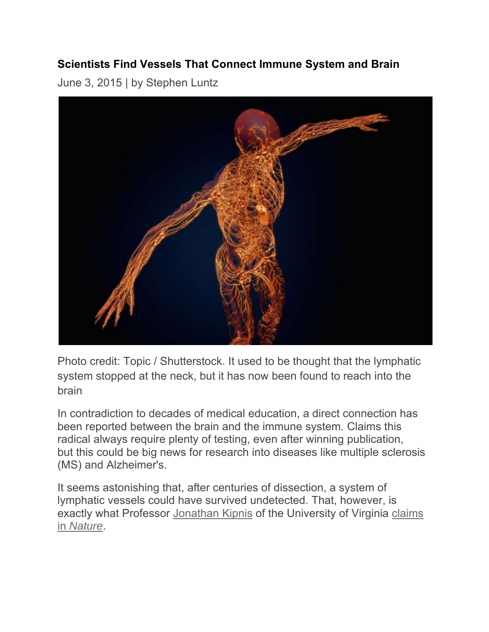## **Scientists Find Vessels That Connect Immune System and Brain**

June 3, 2015 | by Stephen Luntz



Photo credit: Topic / Shutterstock. It used to be thought that the lymphatic system stopped at the neck, but it has now been found to reach into the brain

In contradiction to decades of medical education, a direct connection has been reported between the brain and the immune system. Claims this radical always require plenty of testing, even after winning publication, but this could be big news for research into diseases like multiple sclerosis (MS) and Alzheimer's.

It seems astonishing that, after centuries of dissection, a system of lymphatic vessels could have survived undetected. That, however, is exactly what Professor Jonathan Kipnis of the University of Virginia claims in *Nature*.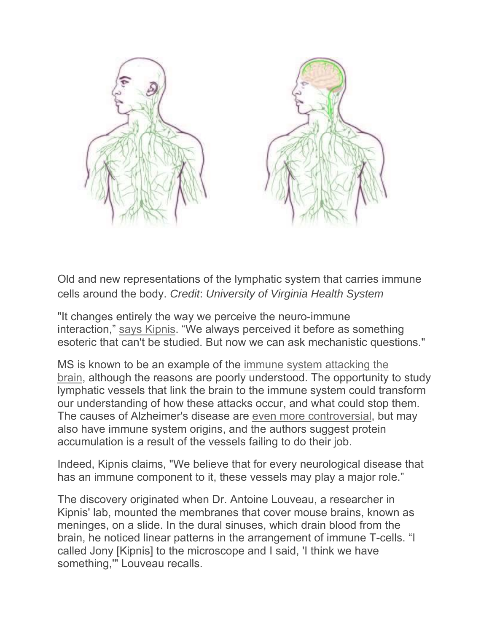

Old and new representations of the lymphatic system that carries immune cells around the body. *Credit*: *University of Virginia Health System* 

"It changes entirely the way we perceive the neuro-immune interaction," says Kipnis. "We always perceived it before as something esoteric that can't be studied. But now we can ask mechanistic questions."

MS is known to be an example of the immune system attacking the brain, although the reasons are poorly understood. The opportunity to study lymphatic vessels that link the brain to the immune system could transform our understanding of how these attacks occur, and what could stop them. The causes of Alzheimer's disease are even more controversial, but may also have immune system origins, and the authors suggest protein accumulation is a result of the vessels failing to do their job.

Indeed, Kipnis claims, "We believe that for every neurological disease that has an immune component to it, these vessels may play a major role."

The discovery originated when Dr. Antoine Louveau, a researcher in Kipnis' lab, mounted the membranes that cover mouse brains, known as meninges, on a slide. In the dural sinuses, which drain blood from the brain, he noticed linear patterns in the arrangement of immune T-cells. "I called Jony [Kipnis] to the microscope and I said, 'I think we have something,'" Louveau recalls.